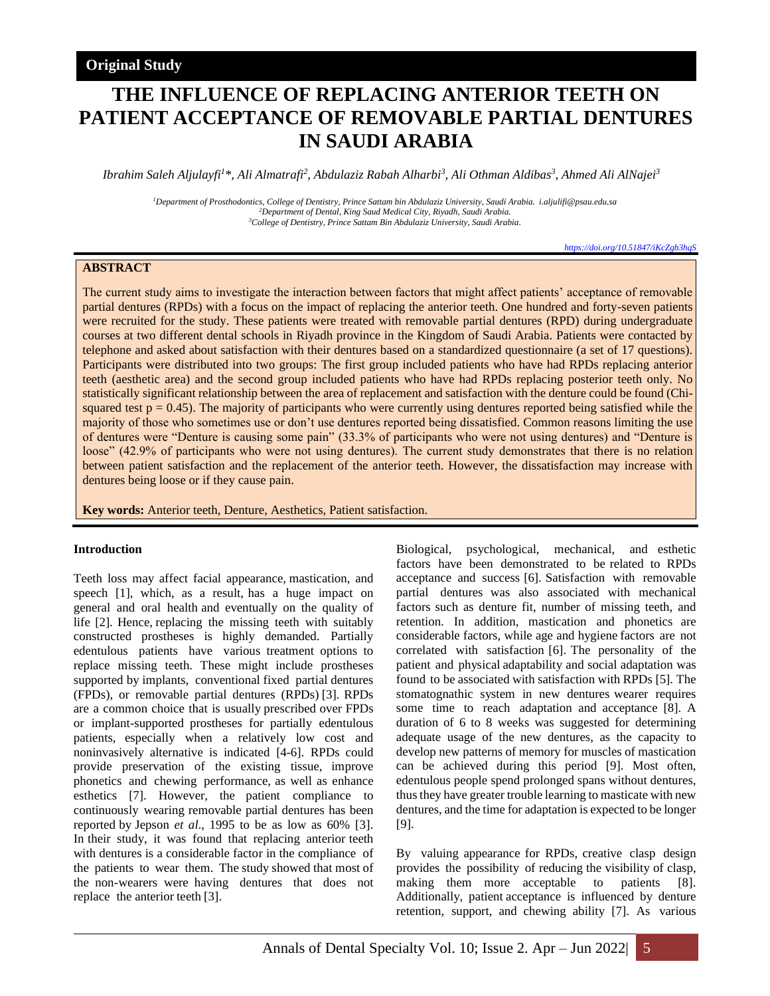# **Original Study**

# **THE INFLUENCE OF REPLACING ANTERIOR TEETH ON PATIENT ACCEPTANCE OF REMOVABLE PARTIAL DENTURES IN SAUDI ARABIA**

*Ibrahim Saleh Aljulayfi<sup>1</sup>\*, Ali Almatrafi<sup>2</sup> , Abdulaziz Rabah Alharbi<sup>3</sup> , Ali Othman Aldibas<sup>3</sup> , Ahmed Ali AlNajei<sup>3</sup>*

*<sup>1</sup>Department of Prosthodontics, College of Dentistry, Prince Sattam bin Abdulaziz University, Saudi Arabia. i.aljulifi@psau.edu.sa <sup>2</sup>Department of Dental, King Saud Medical City, Riyadh, Saudi Arabia. <sup>3</sup>College of Dentistry, Prince Sattam Bin Abdulaziz University, Saudi Arabia.*

*<https://doi.org/10.51847/iKcZgb3hqS>*

# **ABSTRACT**

The current study aims to investigate the interaction between factors that might affect patients' acceptance of removable partial dentures (RPDs) with a focus on the impact of replacing the anterior teeth. One hundred and forty-seven patients were recruited for the study. These patients were treated with removable partial dentures (RPD) during undergraduate courses at two different dental schools in Riyadh province in the Kingdom of Saudi Arabia. Patients were contacted by telephone and asked about satisfaction with their dentures based on a standardized questionnaire (a set of 17 questions). Participants were distributed into two groups: The first group included patients who have had RPDs replacing anterior teeth (aesthetic area) and the second group included patients who have had RPDs replacing posterior teeth only. No statistically significant relationship between the area of replacement and satisfaction with the denture could be found (Chisquared test  $p = 0.45$ ). The majority of participants who were currently using dentures reported being satisfied while the majority of those who sometimes use or don't use dentures reported being dissatisfied. Common reasons limiting the use of dentures were "Denture is causing some pain" (33.3% of participants who were not using dentures) and "Denture is loose" (42.9% of participants who were not using dentures). The current study demonstrates that there is no relation between patient satisfaction and the replacement of the anterior teeth. However, the dissatisfaction may increase with dentures being loose or if they cause pain.

**Key words:** Anterior teeth, Denture, Aesthetics, Patient satisfaction.

#### **Introduction**

Teeth loss may affect facial appearance, mastication, and speech [1], which, as a result, has a huge impact on general and oral health and eventually on the quality of life [2]. Hence, replacing the missing teeth with suitably constructed prostheses is highly demanded. Partially edentulous patients have various treatment options to replace missing teeth. These might include prostheses supported by implants, conventional fixed partial dentures (FPDs), or removable partial dentures (RPDs) [3]. RPDs are a common choice that is usually prescribed over FPDs or implant-supported prostheses for partially edentulous patients, especially when a relatively low cost and noninvasively alternative is indicated [4-6]. RPDs could provide preservation of the existing tissue, improve phonetics and chewing performance, as well as enhance esthetics [7]. However, the patient compliance to continuously wearing removable partial dentures has been reported by Jepson *et al*., 1995 to be as low as 60% [3]. In their study, it was found that replacing anterior teeth with dentures is a considerable factor in the compliance of the patients to wear them. The study showed that most of the non-wearers were having dentures that does not replace the anterior teeth [3].

Biological, psychological, mechanical, and esthetic factors have been demonstrated to be related to RPDs acceptance and success [6]. Satisfaction with removable partial dentures was also associated with mechanical factors such as denture fit, number of missing teeth, and retention. In addition, mastication and phonetics are considerable factors, while age and hygiene factors are not correlated with satisfaction [6]. The personality of the patient and physical adaptability and social adaptation was found to be associated with satisfaction with RPDs [5]. The stomatognathic system in new dentures wearer requires some time to reach adaptation and acceptance [8]. A duration of 6 to 8 weeks was suggested for determining adequate usage of the new dentures, as the capacity to develop new patterns of memory for muscles of mastication can be achieved during this period [9]. Most often, edentulous people spend prolonged spans without dentures, thus they have greater trouble learning to masticate with new dentures, and the time for adaptation is expected to be longer [9].

By valuing appearance for RPDs, creative clasp design provides the possibility of reducing the visibility of clasp, making them more acceptable to patients [8]. Additionally, patient acceptance is influenced by denture retention, support, and chewing ability [7]. As various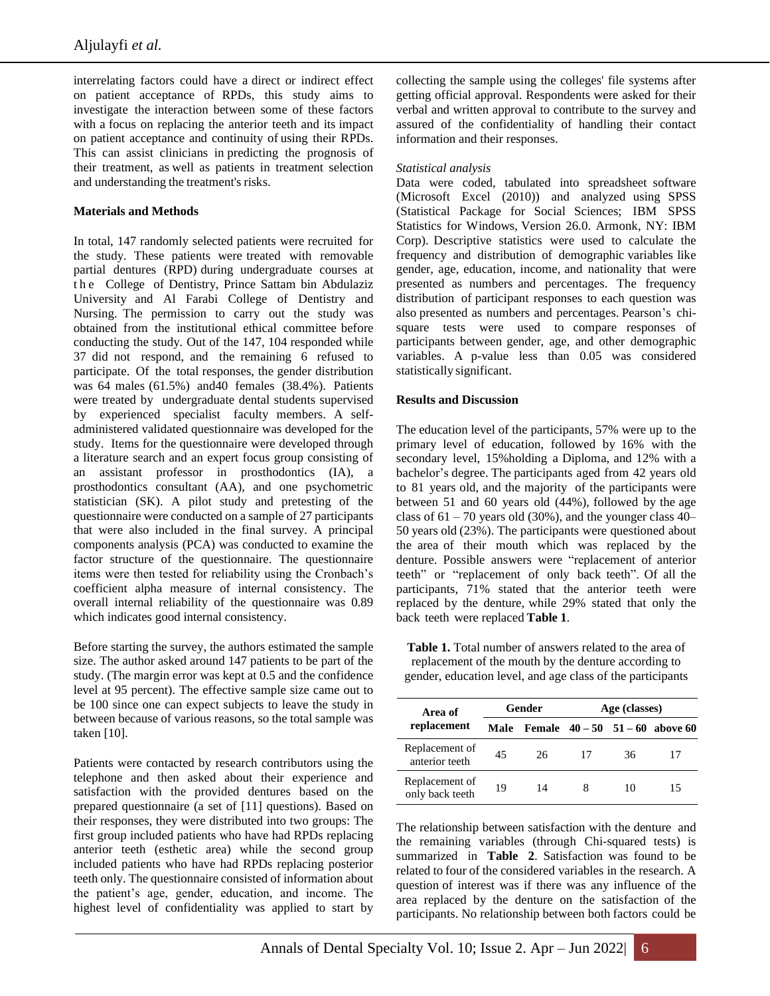interrelating factors could have a direct or indirect effect on patient acceptance of RPDs, this study aims to investigate the interaction between some of these factors with a focus on replacing the anterior teeth and its impact on patient acceptance and continuity of using their RPDs. This can assist clinicians in predicting the prognosis of their treatment, as well as patients in treatment selection and understanding the treatment's risks.

# **Materials and Methods**

In total, 147 randomly selected patients were recruited for the study. These patients were treated with removable partial dentures (RPD) during undergraduate courses at the College of Dentistry, Prince Sattam bin Abdulaziz University and Al Farabi College of Dentistry and Nursing. The permission to carry out the study was obtained from the institutional ethical committee before conducting the study. Out of the 147, 104 responded while 37 did not respond, and the remaining 6 refused to participate. Of the total responses, the gender distribution was 64 males (61.5%) and40 females (38.4%). Patients were treated by undergraduate dental students supervised by experienced specialist faculty members. A selfadministered validated questionnaire was developed for the study. Items for the questionnaire were developed through a literature search and an expert focus group consisting of an assistant professor in prosthodontics (IA), a prosthodontics consultant (AA), and one psychometric statistician (SK). A pilot study and pretesting of the questionnaire were conducted on a sample of 27 participants that were also included in the final survey. A principal components analysis (PCA) was conducted to examine the factor structure of the questionnaire. The questionnaire items were then tested for reliability using the Cronbach's coefficient alpha measure of internal consistency. The overall internal reliability of the questionnaire was 0.89 which indicates good internal consistency.

Before starting the survey, the authors estimated the sample size. The author asked around 147 patients to be part of the study. (The margin error was kept at 0.5 and the confidence level at 95 percent). The effective sample size came out to be 100 since one can expect subjects to leave the study in between because of various reasons, so the total sample was taken [10].

Patients were contacted by research contributors using the telephone and then asked about their experience and satisfaction with the provided dentures based on the prepared questionnaire (a set of [11] questions). Based on their responses, they were distributed into two groups: The first group included patients who have had RPDs replacing anterior teeth (esthetic area) while the second group included patients who have had RPDs replacing posterior teeth only. The questionnaire consisted of information about the patient's age, gender, education, and income. The highest level of confidentiality was applied to start by

collecting the sample using the colleges' file systems after getting official approval. Respondents were asked for their verbal and written approval to contribute to the survey and assured of the confidentiality of handling their contact information and their responses.

# *Statistical analysis*

Data were coded, tabulated into spreadsheet software (Microsoft Excel (2010)) and analyzed using SPSS (Statistical Package for Social Sciences; IBM SPSS Statistics for Windows, Version 26.0. Armonk, NY: IBM Corp). Descriptive statistics were used to calculate the frequency and distribution of demographic variables like gender, age, education, income, and nationality that were presented as numbers and percentages. The frequency distribution of participant responses to each question was also presented as numbers and percentages. Pearson's chisquare tests were used to compare responses of participants between gender, age, and other demographic variables. A p-value less than 0.05 was considered statistically significant.

## **Results and Discussion**

The education level of the participants, 57% were up to the primary level of education, followed by 16% with the secondary level, 15%holding a Diploma, and 12% with a bachelor's degree. The participants aged from 42 years old to 81 years old, and the majority of the participants were between 51 and 60 years old (44%), followed by the age class of  $61 - 70$  years old (30%), and the younger class 40– 50 years old (23%). The participants were questioned about the area of their mouth which was replaced by the denture. Possible answers were "replacement of anterior teeth" or "replacement of only back teeth". Of all the participants, 71% stated that the anterior teeth were replaced by the denture, while 29% stated that only the back teeth were replaced **[Table](#page-1-0) 1**.

<span id="page-1-0"></span>**Table 1.** Total number of answers related to the area of replacement of the mouth by the denture according to gender, education level, and age class of the participants

| Area of                           | Gender |    | Age (classes) |    |                                          |
|-----------------------------------|--------|----|---------------|----|------------------------------------------|
| replacement                       |        |    |               |    | Male Female $40 - 50$ $51 - 60$ above 60 |
| Replacement of<br>anterior teeth  | 45     | 26 | 17            | 36 |                                          |
| Replacement of<br>only back teeth | 19     | 14 |               | 10 | 15                                       |

The relationship between satisfaction with the denture and the remaining variables (through Chi-squared tests) is summarized in **Table 2**. Satisfaction was found to be related to four of the considered variables in the research. A question of interest was if there was any influence of the area replaced by the denture on the satisfaction of the participants. No relationship between both factors could be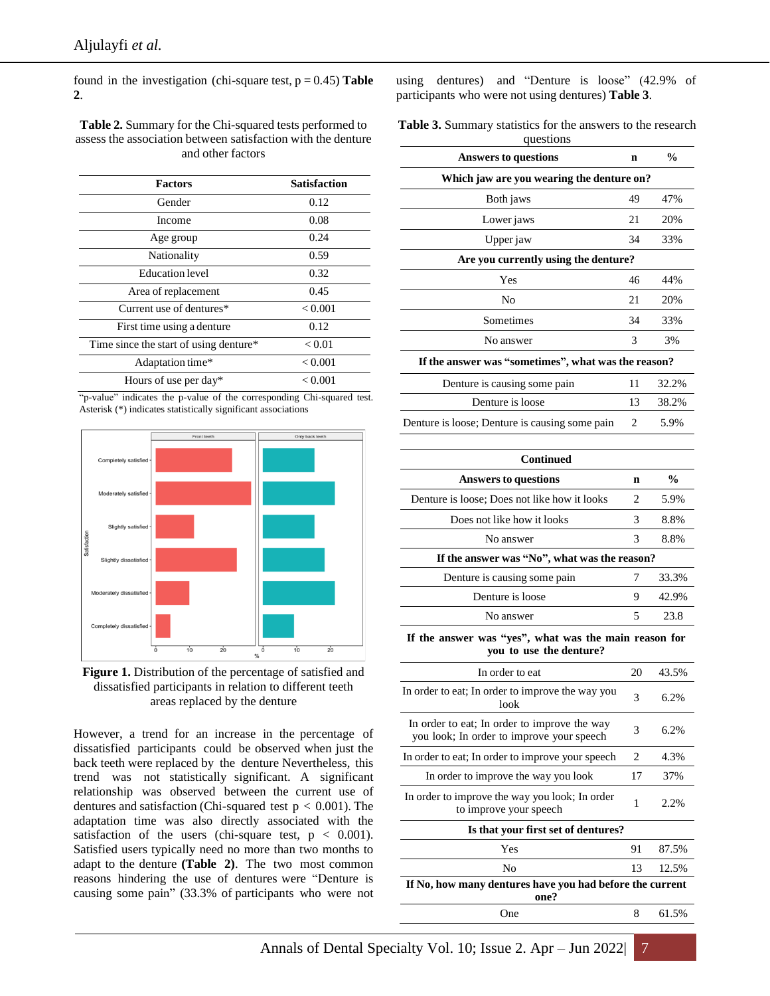found in the investigation (chi-square test,  $p = 0.45$ ) **Table 2**.

**Table 2.** Summary for the Chi-squared tests performed to assess the association between satisfaction with the denture and other factors

| <b>Factors</b>                         | <b>Satisfaction</b> |
|----------------------------------------|---------------------|
| Gender                                 | 0.12                |
| Income                                 | 0.08                |
| Age group                              | 0.24                |
| Nationality                            | 0.59                |
| Education level                        | 0.32                |
| Area of replacement                    | 0.45                |
| Current use of dentures*               | < 0.001             |
| First time using a denture             | 0.12                |
| Time since the start of using denture* | < 0.01              |
| Adaptation time*                       | < 0.001             |
| Hours of use per day*                  | < 0.001             |

"p-value" indicates the p-value of the corresponding Chi-squared test. Asterisk (\*) indicates statistically significant associations





However, a trend for an increase in the percentage of dissatisfied participants could be observed when just the back teeth were replaced by the denture Nevertheless, this trend was not statistically significant. A significant relationship was observed between the current use of dentures and satisfaction (Chi-squared test  $p < 0.001$ ). The adaptation time was also directly associated with the satisfaction of the users (chi-square test,  $p < 0.001$ ). Satisfied users typically need no more than two months to adapt to the denture **(Table 2)**. The two most common reasons hindering the use of dentures were "Denture is causing some pain" (33.3% of participants who were not using dentures) and "Denture is loose" (42.9% of participants who were not using dentures) **Table 3**.

**Table 3.** Summary statistics for the answers to the research questions

| questions                                                                                 |                |               |
|-------------------------------------------------------------------------------------------|----------------|---------------|
| <b>Answers to questions</b>                                                               | n              | $\%$          |
| Which jaw are you wearing the denture on?                                                 |                |               |
| Both jaws                                                                                 | 49             | 47%           |
| Lower jaws                                                                                | 21             | 20%           |
| Upper jaw                                                                                 | 34             | 33%           |
| Are you currently using the denture?                                                      |                |               |
| Yes                                                                                       | 46             | 44%           |
| No                                                                                        |                | 20%           |
| Sometimes                                                                                 | 34             | 33%           |
| No answer                                                                                 | 3              | 3%            |
| If the answer was "sometimes", what was the reason?                                       |                |               |
| Denture is causing some pain                                                              | 11             | 32.2%         |
| Denture is loose                                                                          | 13             | 38.2%         |
| Denture is loose; Denture is causing some pain                                            | 2              | 5.9%          |
| <b>Continued</b>                                                                          |                |               |
| <b>Answers to questions</b>                                                               | n              | $\frac{0}{0}$ |
| Denture is loose; Does not like how it looks                                              | 2              | 5.9%          |
| Does not like how it looks                                                                | 3              | 8.8%          |
| No answer                                                                                 | 3              | 8.8%          |
| If the answer was "No", what was the reason?                                              |                |               |
| Denture is causing some pain                                                              | 7              | 33.3%         |
| Denture is loose                                                                          | 9              | 42.9%         |
| No answer                                                                                 | $\overline{5}$ | 23.8          |
| If the answer was "yes", what was the main reason for<br>you to use the denture?          |                |               |
| In order to eat                                                                           | 20             | 43.5%         |
| In order to eat; In order to improve the way you<br>look                                  | 3              | 6.2%          |
| In order to eat; In order to improve the way<br>you look; In order to improve your speech |                | 6.2%          |
| In order to eat; In order to improve your speech                                          | 2              | 4.3%          |
| In order to improve the way you look                                                      |                | 37%           |
| In order to improve the way you look; In order<br>to improve your speech                  |                | 2.2%          |
| Is that your first set of dentures?                                                       |                |               |
| Yes                                                                                       | 91             | 87.5%         |
| No                                                                                        | 13             | 12.5%         |
| If No, how many dentures have you had before the current<br>one?                          |                |               |
| One                                                                                       | 8              | 61.5%         |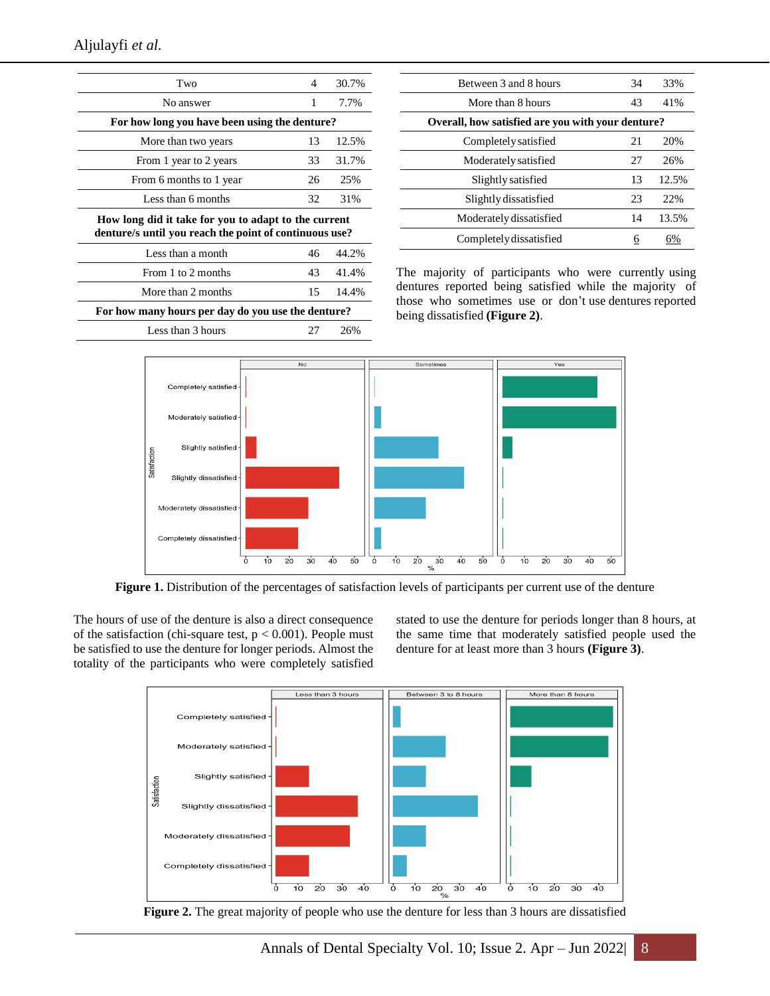| Two                                                                                                            | 4  | 30.7% |  |  |
|----------------------------------------------------------------------------------------------------------------|----|-------|--|--|
| No answer                                                                                                      | 1  | 7.7%  |  |  |
| For how long you have been using the denture?                                                                  |    |       |  |  |
| More than two years                                                                                            |    | 12.5% |  |  |
| From 1 year to 2 years                                                                                         | 33 | 31.7% |  |  |
| From 6 months to 1 year                                                                                        | 26 | 25%   |  |  |
| Less than 6 months                                                                                             | 32 | 31%   |  |  |
| How long did it take for you to adapt to the current<br>denture/s until you reach the point of continuous use? |    |       |  |  |
| Less than a month                                                                                              | 46 | 44.2% |  |  |
| From 1 to 2 months                                                                                             | 43 | 41.4% |  |  |
| More than 2 months                                                                                             | 15 | 14.4% |  |  |
| For how many hours per day do you use the denture?                                                             |    |       |  |  |
| Less than 3 hours                                                                                              | 27 | 26%   |  |  |
|                                                                                                                |    |       |  |  |

| 34                                                | 33%   |  |  |  |
|---------------------------------------------------|-------|--|--|--|
| 43                                                | 41%   |  |  |  |
| Overall, how satisfied are you with your denture? |       |  |  |  |
| 21                                                | 20%   |  |  |  |
| 27                                                | 26%   |  |  |  |
| 13                                                | 12.5% |  |  |  |
| 23                                                | 22%   |  |  |  |
| 14                                                | 13.5% |  |  |  |
| 6                                                 |       |  |  |  |
|                                                   |       |  |  |  |

The majority of participants who were currently using dentures reported being satisfied while the majority of those who sometimes use or don't use dentures reported being dissatisfied **(Figure 2)**.



**Figure 1.** Distribution of the percentages of satisfaction levels of participants per current use of the denture

The hours of use of the denture is also a direct consequence of the satisfaction (chi-square test,  $p < 0.001$ ). People must be satisfied to use the denture for longer periods. Almost the totality of the participants who were completely satisfied stated to use the denture for periods longer than 8 hours, at the same time that moderately satisfied people used the denture for at least more than 3 hours **(Figure 3)**.



**Figure 2.** The great majority of people who use the denture for less than 3 hours are dissatisfied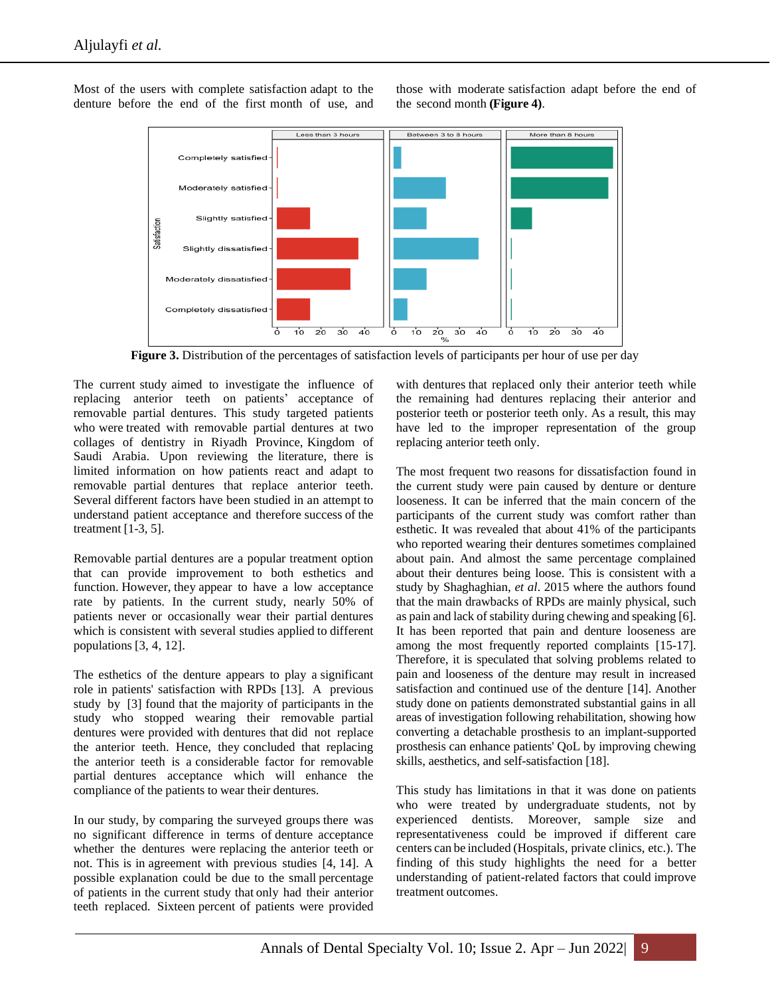Most of the users with complete satisfaction adapt to the denture before the end of the first month of use, and





Figure 3. Distribution of the percentages of satisfaction levels of participants per hour of use per day

The current study aimed to investigate the influence of replacing anterior teeth on patients' acceptance of removable partial dentures. This study targeted patients who were treated with removable partial dentures at two collages of dentistry in Riyadh Province, Kingdom of Saudi Arabia. Upon reviewing the literature, there is limited information on how patients react and adapt to removable partial dentures that replace anterior teeth. Several different factors have been studied in an attempt to understand patient acceptance and therefore success of the treatment [1-3, 5].

Removable partial dentures are a popular treatment option that can provide improvement to both esthetics and function. However, they appear to have a low acceptance rate by patients. In the current study, nearly 50% of patients never or occasionally wear their partial dentures which is consistent with several studies applied to different populations [3, 4, 12].

The esthetics of the denture appears to play a significant role in patients' satisfaction with RPDs [13]. A previous study by [3] found that the majority of participants in the study who stopped wearing their removable partial dentures were provided with dentures that did not replace the anterior teeth. Hence, they concluded that replacing the anterior teeth is a considerable factor for removable partial dentures acceptance which will enhance the compliance of the patients to wear their dentures.

In our study, by comparing the surveyed groups there was no significant difference in terms of denture acceptance whether the dentures were replacing the anterior teeth or not. This is in agreement with previous studies [4, 14]. A possible explanation could be due to the small percentage of patients in the current study that only had their anterior teeth replaced. Sixteen percent of patients were provided with dentures that replaced only their anterior teeth while the remaining had dentures replacing their anterior and posterior teeth or posterior teeth only. As a result, this may have led to the improper representation of the group replacing anterior teeth only.

The most frequent two reasons for dissatisfaction found in the current study were pain caused by denture or denture looseness. It can be inferred that the main concern of the participants of the current study was comfort rather than esthetic. It was revealed that about 41% of the participants who reported wearing their dentures sometimes complained about pain. And almost the same percentage complained about their dentures being loose. This is consistent with a study by Shaghaghian, *et al*. 2015 where the authors found that the main drawbacks of RPDs are mainly physical, such as pain and lack of stability during chewing and speaking [6]. It has been reported that pain and denture looseness are among the most frequently reported complaints [15-17]. Therefore, it is speculated that solving problems related to pain and looseness of the denture may result in increased satisfaction and continued use of the denture [14]. Another study done on patients demonstrated substantial gains in all areas of investigation following rehabilitation, showing how converting a detachable prosthesis to an implant-supported prosthesis can enhance patients' QoL by improving chewing skills, aesthetics, and self-satisfaction [18].

This study has limitations in that it was done on patients who were treated by undergraduate students, not by experienced dentists. Moreover, sample size and representativeness could be improved if different care centers can be included (Hospitals, private clinics, etc.). The finding of this study highlights the need for a better understanding of patient-related factors that could improve treatment outcomes.